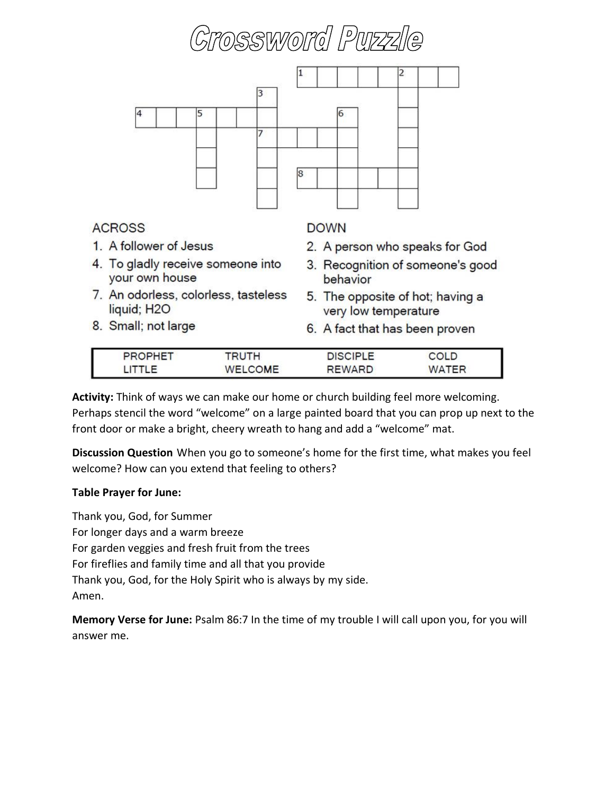



- 7. An odorless, colorless, tasteless liquid; H<sub>2O</sub>
- 8. Small; not large
- 5. The opposite of hot; having a very low temperature
- 6. A fact that has been proven

| <b>DHET</b> |                    | <b>DISCIPLE</b> | OLD |
|-------------|--------------------|-----------------|-----|
|             | COME<br><b>MEL</b> | REWARD          | reo |

**Activity:** Think of ways we can make our home or church building feel more welcoming. Perhaps stencil the word "welcome" on a large painted board that you can prop up next to the front door or make a bright, cheery wreath to hang and add a "welcome" mat.

**Discussion Question** When you go to someone's home for the first time, what makes you feel welcome? How can you extend that feeling to others?

## **Table Prayer for June:**

Thank you, God, for Summer For longer days and a warm breeze For garden veggies and fresh fruit from the trees For fireflies and family time and all that you provide Thank you, God, for the Holy Spirit who is always by my side. Amen.

**Memory Verse for June:** Psalm 86:7 In the time of my trouble I will call upon you, for you will answer me.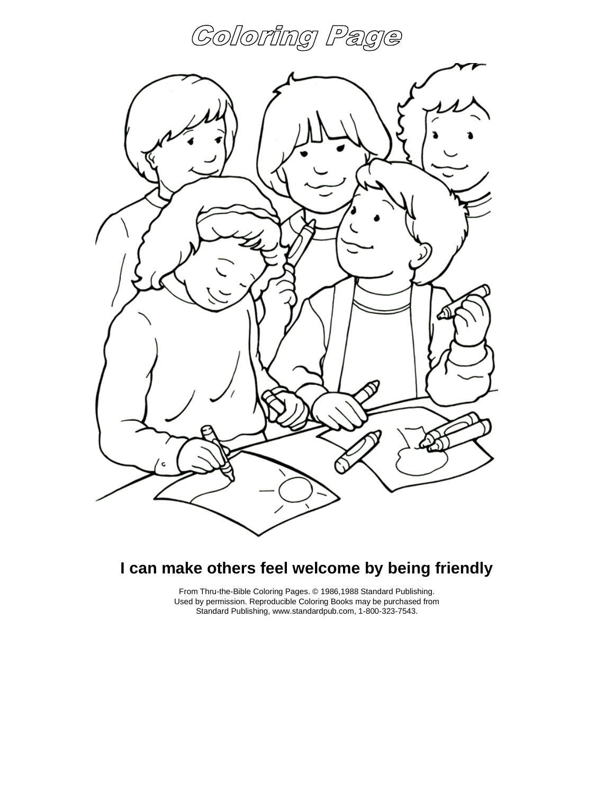### Coloring Pa e Ģ



## **I can make others feel welcome by being friendly**

From Thru-the-Bible Coloring Pages. © 1986,1988 Standard Publishing. Used by permission. Reproducible Coloring Books may be purchased from Standard Publishing, www.standardpub.com, 1-800-323-7543.